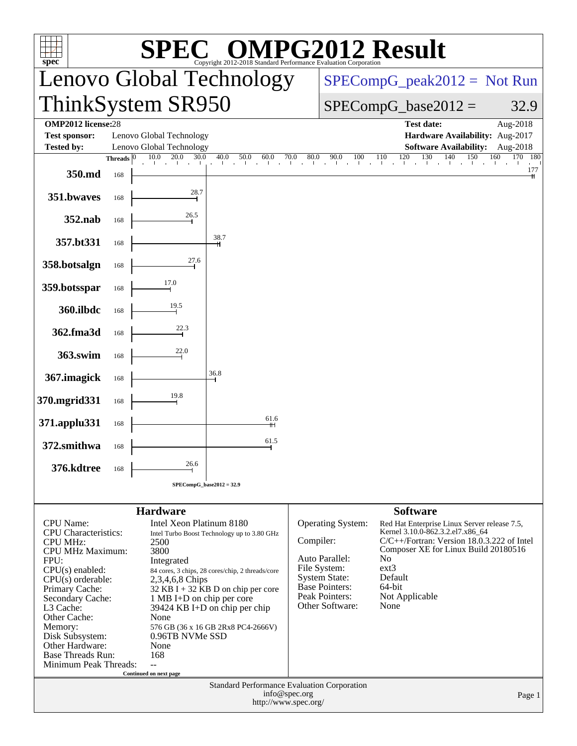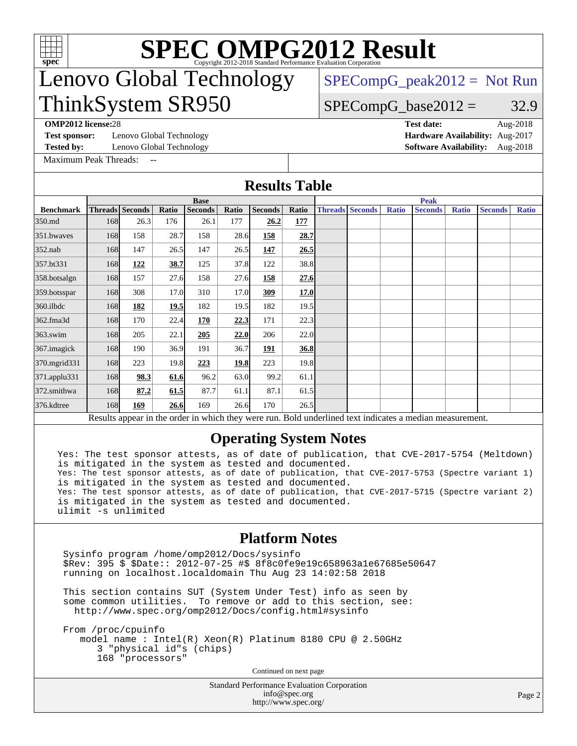

# **[SPEC OMPG2012 Result](http://www.spec.org/auto/omp2012/Docs/result-fields.html#SPECOMPG2012Result)**

# Lenovo Global Technology ThinkSystem SR950

 $SPECompG_peak2012 = Not Run$  $SPECompG_peak2012 = Not Run$ 

## $SPECompG_base2012 = 32.9$  $SPECompG_base2012 = 32.9$

**[Test sponsor:](http://www.spec.org/auto/omp2012/Docs/result-fields.html#Testsponsor)** Lenovo Global Technology **[Hardware Availability:](http://www.spec.org/auto/omp2012/Docs/result-fields.html#HardwareAvailability)** Aug-2017

[Maximum Peak Threads:](http://www.spec.org/auto/omp2012/Docs/result-fields.html#MaximumPeakThreads)

**[OMP2012 license:](http://www.spec.org/auto/omp2012/Docs/result-fields.html#OMP2012license)**28 **[Test date:](http://www.spec.org/auto/omp2012/Docs/result-fields.html#Testdate)** Aug-2018 **[Tested by:](http://www.spec.org/auto/omp2012/Docs/result-fields.html#Testedby)** Lenovo Global Technology **[Software Availability:](http://www.spec.org/auto/omp2012/Docs/result-fields.html#SoftwareAvailability)** Aug-2018

| <b>Results Table</b> |             |                        |       |                |       |                |            |                        |             |              |                                                                                                          |              |                |              |  |
|----------------------|-------------|------------------------|-------|----------------|-------|----------------|------------|------------------------|-------------|--------------|----------------------------------------------------------------------------------------------------------|--------------|----------------|--------------|--|
|                      | <b>Base</b> |                        |       |                |       |                |            |                        | <b>Peak</b> |              |                                                                                                          |              |                |              |  |
| <b>Benchmark</b>     |             | <b>Threads</b> Seconds | Ratio | <b>Seconds</b> | Ratio | <b>Seconds</b> | Ratio      | <b>Threads Seconds</b> |             | <b>Ratio</b> | <b>Seconds</b>                                                                                           | <b>Ratio</b> | <b>Seconds</b> | <b>Ratio</b> |  |
| 350.md               | 168         | 26.3                   | 176   | 26.1           | 177   | 26.2           | <u>177</u> |                        |             |              |                                                                                                          |              |                |              |  |
| 351.bwaves           | 168         | 158                    | 28.7  | 158            | 28.6  | <u>158</u>     | 28.7       |                        |             |              |                                                                                                          |              |                |              |  |
| 352.nab              | 168         | 147                    | 26.5  | 147            | 26.5  | 147            | 26.5       |                        |             |              |                                                                                                          |              |                |              |  |
| 357.bt331            | 168         | 122                    | 38.7  | 125            | 37.8  | 122            | 38.8       |                        |             |              |                                                                                                          |              |                |              |  |
| 358.botsalgn         | 168         | 157                    | 27.6  | 158            | 27.6  | 158            | 27.6       |                        |             |              |                                                                                                          |              |                |              |  |
| 359.botsspar         | 168         | 308                    | 17.0  | 310            | 17.0  | 309            | 17.0       |                        |             |              |                                                                                                          |              |                |              |  |
| 360.ilbdc            | 168         | 182                    | 19.5  | 182            | 19.5  | 182            | 19.5       |                        |             |              |                                                                                                          |              |                |              |  |
| 362.fma3d            | 168         | 170                    | 22.4  | 170            | 22.3  | 171            | 22.3       |                        |             |              |                                                                                                          |              |                |              |  |
| 363.swim             | 168         | 205                    | 22.1  | 205            | 22.0  | 206            | 22.0       |                        |             |              |                                                                                                          |              |                |              |  |
| 367.imagick          | 168         | 190                    | 36.9  | 191            | 36.7  | <u>191</u>     | 36.8       |                        |             |              |                                                                                                          |              |                |              |  |
| 370.mgrid331         | 168         | 223                    | 19.8  | 223            | 19.8  | 223            | 19.8       |                        |             |              |                                                                                                          |              |                |              |  |
| 371.applu331         | 168         | 98.3                   | 61.6  | 96.2           | 63.0  | 99.2           | 61.1       |                        |             |              |                                                                                                          |              |                |              |  |
| 372.smithwa          | 168         | 87.2                   | 61.5  | 87.7           | 61.1  | 87.1           | 61.5       |                        |             |              |                                                                                                          |              |                |              |  |
| 376.kdtree           | 168         | 169                    | 26.6  | 169            | 26.6  | 170            | 26.5       |                        |             |              |                                                                                                          |              |                |              |  |
|                      |             |                        |       |                |       |                |            |                        |             |              | Results appear in the order in which they were run. Bold underlined text indicates a median measurement. |              |                |              |  |

## **[Operating System Notes](http://www.spec.org/auto/omp2012/Docs/result-fields.html#OperatingSystemNotes)**

Yes: The test sponsor attests, as of date of publication, that CVE-2017-5754 (Meltdown) is mitigated in the system as tested and documented. Yes: The test sponsor attests, as of date of publication, that CVE-2017-5753 (Spectre variant 1) is mitigated in the system as tested and documented. Yes: The test sponsor attests, as of date of publication, that CVE-2017-5715 (Spectre variant 2) is mitigated in the system as tested and documented. ulimit -s unlimited

### **[Platform Notes](http://www.spec.org/auto/omp2012/Docs/result-fields.html#PlatformNotes)**

 Sysinfo program /home/omp2012/Docs/sysinfo \$Rev: 395 \$ \$Date:: 2012-07-25 #\$ 8f8c0fe9e19c658963a1e67685e50647 running on localhost.localdomain Thu Aug 23 14:02:58 2018

 This section contains SUT (System Under Test) info as seen by some common utilities. To remove or add to this section, see: <http://www.spec.org/omp2012/Docs/config.html#sysinfo>

 From /proc/cpuinfo model name : Intel(R) Xeon(R) Platinum 8180 CPU @ 2.50GHz 3 "physical id"s (chips) 168 "processors"

Continued on next page

Standard Performance Evaluation Corporation [info@spec.org](mailto:info@spec.org) <http://www.spec.org/>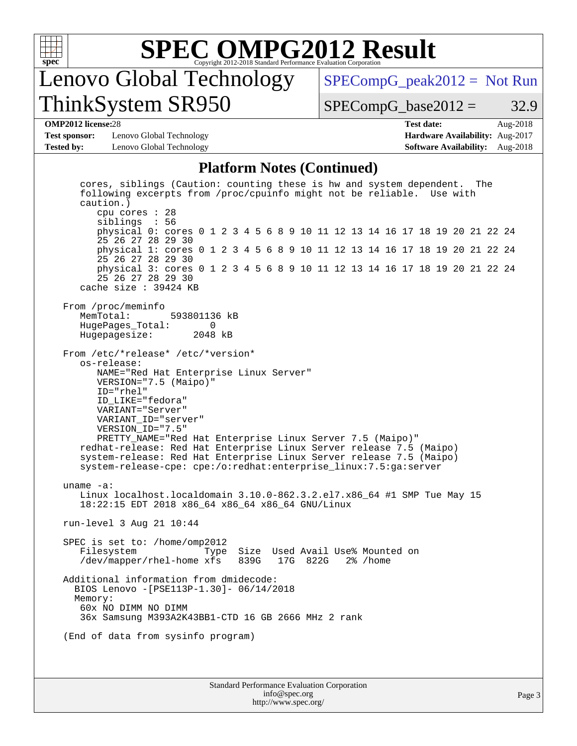

# **[SPEC OMPG2012 Result](http://www.spec.org/auto/omp2012/Docs/result-fields.html#SPECOMPG2012Result)**

# Lenovo Global Technology ThinkSystem SR950

 $SPECompG_peak2012 = Not Run$  $SPECompG_peak2012 = Not Run$ 

 $SPECompG_base2012 = 32.9$  $SPECompG_base2012 = 32.9$ 

#### **[OMP2012 license:](http://www.spec.org/auto/omp2012/Docs/result-fields.html#OMP2012license)**28 **[Test date:](http://www.spec.org/auto/omp2012/Docs/result-fields.html#Testdate)** Aug-2018

**[Test sponsor:](http://www.spec.org/auto/omp2012/Docs/result-fields.html#Testsponsor)** Lenovo Global Technology **[Hardware Availability:](http://www.spec.org/auto/omp2012/Docs/result-fields.html#HardwareAvailability)** Aug-2017 **[Tested by:](http://www.spec.org/auto/omp2012/Docs/result-fields.html#Testedby)** Lenovo Global Technology **[Software Availability:](http://www.spec.org/auto/omp2012/Docs/result-fields.html#SoftwareAvailability)** Aug-2018

#### **[Platform Notes \(Continued\)](http://www.spec.org/auto/omp2012/Docs/result-fields.html#PlatformNotes)**

Standard Performance Evaluation Corporation [info@spec.org](mailto:info@spec.org) cores, siblings (Caution: counting these is hw and system dependent. The following excerpts from /proc/cpuinfo might not be reliable. Use with caution.) cpu cores : 28 siblings : 56 physical 0: cores 0 1 2 3 4 5 6 8 9 10 11 12 13 14 16 17 18 19 20 21 22 24 25 26 27 28 29 30 physical 1: cores 0 1 2 3 4 5 6 8 9 10 11 12 13 14 16 17 18 19 20 21 22 24 25 26 27 28 29 30 physical 3: cores 0 1 2 3 4 5 6 8 9 10 11 12 13 14 16 17 18 19 20 21 22 24 25 26 27 28 29 30 cache size : 39424 KB From /proc/meminfo MemTotal: 593801136 kB HugePages\_Total: 0<br>Hugepagesize: 2048 kB Hugepagesize: From /etc/\*release\* /etc/\*version\* os-release: NAME="Red Hat Enterprise Linux Server" VERSION="7.5 (Maipo)" ID="rhel" ID\_LIKE="fedora" VARIANT="Server" VARIANT\_ID="server" VERSION\_ID="7.5" PRETTY\_NAME="Red Hat Enterprise Linux Server 7.5 (Maipo)" redhat-release: Red Hat Enterprise Linux Server release 7.5 (Maipo) system-release: Red Hat Enterprise Linux Server release 7.5 (Maipo) system-release-cpe: cpe:/o:redhat:enterprise\_linux:7.5:ga:server uname -a: Linux localhost.localdomain 3.10.0-862.3.2.el7.x86\_64 #1 SMP Tue May 15 18:22:15 EDT 2018 x86\_64 x86\_64 x86\_64 GNU/Linux run-level 3 Aug 21 10:44 SPEC is set to: /home/omp2012 Filesystem Type Size Used Avail Use% Mounted on<br>
/dev/mapper/rhel-home xfs 839G 17G 822G 2% /home  $/$ dev/mapper/rhel-home xfs 839G Additional information from dmidecode: BIOS Lenovo -[PSE113P-1.30]- 06/14/2018 Memory: 60x NO DIMM NO DIMM 36x Samsung M393A2K43BB1-CTD 16 GB 2666 MHz 2 rank (End of data from sysinfo program)

<http://www.spec.org/>

Page 3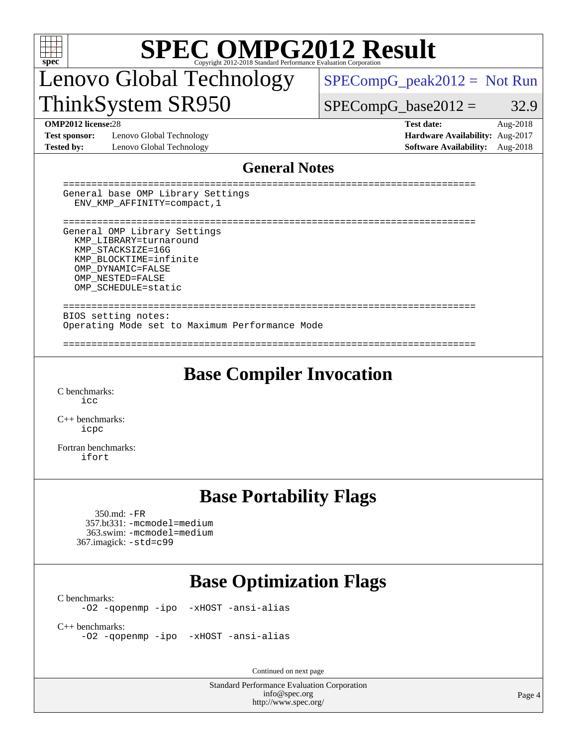| SPECOMPG2012 Mandard Performance Evaluation Corporation Contration<br>$spec^*$                                                                                                                                              |                                                                                                               |  |  |  |  |  |  |  |
|-----------------------------------------------------------------------------------------------------------------------------------------------------------------------------------------------------------------------------|---------------------------------------------------------------------------------------------------------------|--|--|--|--|--|--|--|
| Lenovo Global Technology                                                                                                                                                                                                    | $SPECompG_peak2012 = Not Run$                                                                                 |  |  |  |  |  |  |  |
| ThinkSystem SR950                                                                                                                                                                                                           | $SPECompG_base2012 =$<br>32.9                                                                                 |  |  |  |  |  |  |  |
| <b>OMP2012 license:28</b><br>Lenovo Global Technology<br><b>Test sponsor:</b><br><b>Tested by:</b><br>Lenovo Global Technology                                                                                              | <b>Test date:</b><br>Aug-2018<br>Hardware Availability: Aug-2017<br><b>Software Availability:</b><br>Aug-2018 |  |  |  |  |  |  |  |
| <b>General Notes</b>                                                                                                                                                                                                        |                                                                                                               |  |  |  |  |  |  |  |
| General base OMP Library Settings<br>ENV_KMP_AFFINITY=compact, 1                                                                                                                                                            |                                                                                                               |  |  |  |  |  |  |  |
| ----------------------------<br>General OMP Library Settings<br>KMP LIBRARY=turnaround<br>KMP STACKSIZE=16G<br>KMP_BLOCKTIME=infinite<br>OMP DYNAMIC=FALSE<br>OMP NESTED=FALSE<br>OMP SCHEDULE=static<br>------------------ |                                                                                                               |  |  |  |  |  |  |  |
| BIOS setting notes:<br>Operating Mode set to Maximum Performance Mode                                                                                                                                                       |                                                                                                               |  |  |  |  |  |  |  |
| <b>Base Compiler Invocation</b><br>C benchmarks:<br>icc<br>$C_{++}$ benchmarks:<br>icpc<br>Fortran benchmarks:<br>ifort                                                                                                     |                                                                                                               |  |  |  |  |  |  |  |
| <b>Base Portability Flags</b><br>$350 \text{.md}: -FR$<br>357.bt331: -mcmodel=medium<br>363.swim: -mcmodel=medium<br>367.imagick: -std=c99                                                                                  |                                                                                                               |  |  |  |  |  |  |  |
| <b>Base Optimization Flags</b>                                                                                                                                                                                              |                                                                                                               |  |  |  |  |  |  |  |
| C benchmarks:<br>-02 -qopenmp -ipo -xHOST -ansi-alias                                                                                                                                                                       |                                                                                                               |  |  |  |  |  |  |  |
| $C++$ benchmarks:<br>-02 -qopenmp -ipo -xHOST -ansi-alias                                                                                                                                                                   |                                                                                                               |  |  |  |  |  |  |  |
| Continued on next page                                                                                                                                                                                                      |                                                                                                               |  |  |  |  |  |  |  |
| Standard Performance Evaluation Corporation<br>info@spec.org<br>http://www.spec.org/                                                                                                                                        | Page 4                                                                                                        |  |  |  |  |  |  |  |